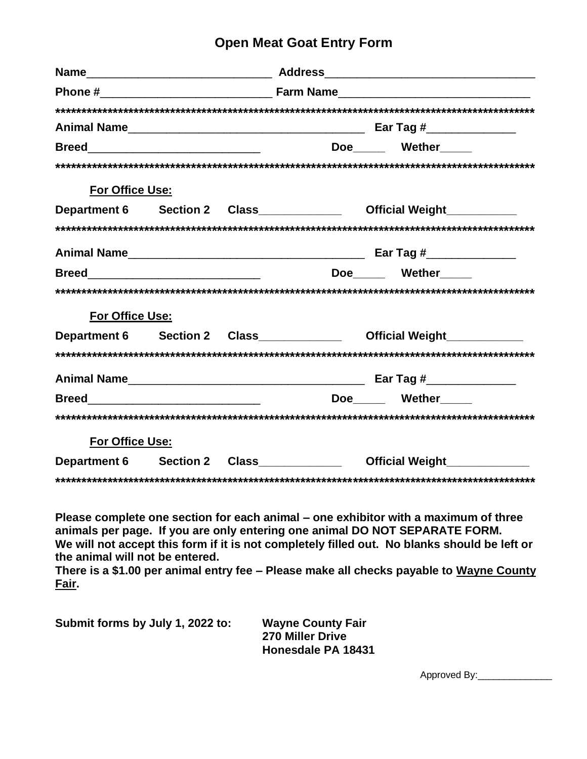## **Open Meat Goat Entry Form**

|                                                                                                           |  | Doe______ Wether_____                                               |  |
|-----------------------------------------------------------------------------------------------------------|--|---------------------------------------------------------------------|--|
|                                                                                                           |  |                                                                     |  |
| For Office Use:                                                                                           |  |                                                                     |  |
|                                                                                                           |  | Department 6 Section 2 Class_____________ Official Weight__________ |  |
|                                                                                                           |  |                                                                     |  |
|                                                                                                           |  |                                                                     |  |
|                                                                                                           |  | Doe Wether                                                          |  |
|                                                                                                           |  |                                                                     |  |
| <b>For Office Use:</b>                                                                                    |  |                                                                     |  |
|                                                                                                           |  | Department 6 Section 2 Class____________ Official Weight__________  |  |
|                                                                                                           |  |                                                                     |  |
|                                                                                                           |  |                                                                     |  |
| <b>Breed</b> 2008 2008 2010 2021 2022 2023 2024 2022 2023 2024 2022 2023 2024 2022 2023 2024 2025 2026 20 |  | Doe Wether                                                          |  |
|                                                                                                           |  |                                                                     |  |
| For Office Use:                                                                                           |  |                                                                     |  |
| Department 6 Section 2 Class                                                                              |  | Official Weight______________                                       |  |
|                                                                                                           |  |                                                                     |  |

**Please complete one section for each animal – one exhibitor with a maximum of three animals per page. If you are only entering one animal DO NOT SEPARATE FORM. We will not accept this form if it is not completely filled out. No blanks should be left or the animal will not be entered.** 

**There is a \$1.00 per animal entry fee – Please make all checks payable to Wayne County Fair.**

**Submit forms by July 1, 2022 to: Wayne County Fair 270 Miller Drive Honesdale PA 18431**

Approved By:\_\_\_\_\_\_\_\_\_\_\_\_\_\_